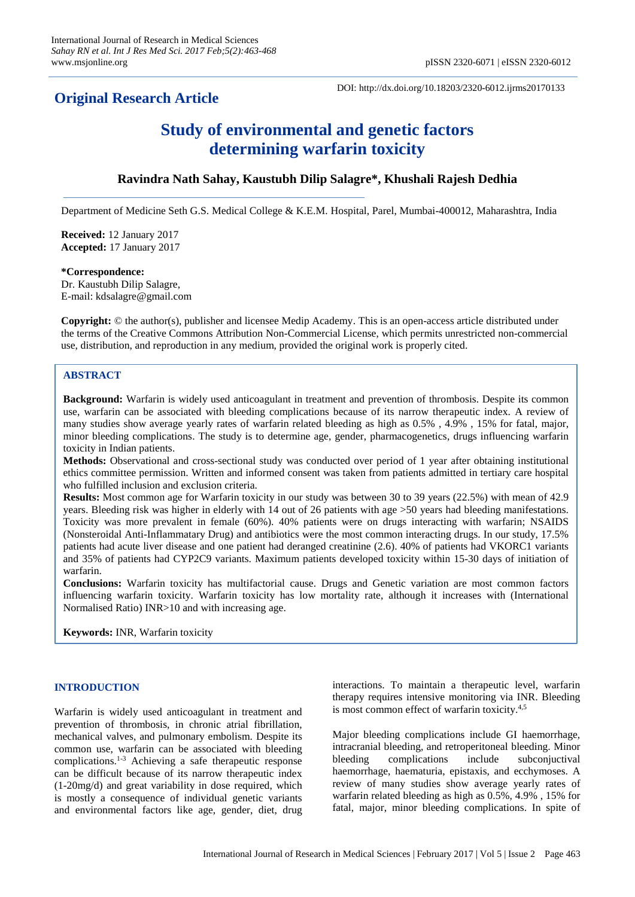# **Original Research Article**

DOI: http://dx.doi.org/10.18203/2320-6012.ijrms20170133

# **Study of environmental and genetic factors determining warfarin toxicity**

# **Ravindra Nath Sahay, Kaustubh Dilip Salagre\*, Khushali Rajesh Dedhia**

Department of Medicine Seth G.S. Medical College & K.E.M. Hospital, Parel, Mumbai-400012, Maharashtra, India

**Received:** 12 January 2017 **Accepted:** 17 January 2017

#### **\*Correspondence:**

Dr. Kaustubh Dilip Salagre, E-mail: kdsalagre@gmail.com

**Copyright:** © the author(s), publisher and licensee Medip Academy. This is an open-access article distributed under the terms of the Creative Commons Attribution Non-Commercial License, which permits unrestricted non-commercial use, distribution, and reproduction in any medium, provided the original work is properly cited.

# **ABSTRACT**

**Background:** Warfarin is widely used anticoagulant in treatment and prevention of thrombosis. Despite its common use, warfarin can be associated with bleeding complications because of its narrow therapeutic index. A review of many studies show average yearly rates of warfarin related bleeding as high as 0.5% , 4.9% , 15% for fatal, major, minor bleeding complications. The study is to determine age, gender, pharmacogenetics, drugs influencing warfarin toxicity in Indian patients.

**Methods:** Observational and cross-sectional study was conducted over period of 1 year after obtaining institutional ethics committee permission. Written and informed consent was taken from patients admitted in tertiary care hospital who fulfilled inclusion and exclusion criteria.

**Results:** Most common age for Warfarin toxicity in our study was between 30 to 39 years (22.5%) with mean of 42.9 years. Bleeding risk was higher in elderly with 14 out of 26 patients with age >50 years had bleeding manifestations. Toxicity was more prevalent in female (60%). 40% patients were on drugs interacting with warfarin; NSAIDS (Nonsteroidal Anti-Inflammatary Drug) and antibiotics were the most common interacting drugs. In our study, 17.5% patients had acute liver disease and one patient had deranged creatinine (2.6). 40% of patients had VKORC1 variants and 35% of patients had CYP2C9 variants. Maximum patients developed toxicity within 15-30 days of initiation of warfarin.

**Conclusions:** Warfarin toxicity has multifactorial cause. Drugs and Genetic variation are most common factors influencing warfarin toxicity. Warfarin toxicity has low mortality rate, although it increases with (International Normalised Ratio) INR>10 and with increasing age.

**Keywords:** INR, Warfarin toxicity

# **INTRODUCTION**

Warfarin is widely used anticoagulant in treatment and prevention of thrombosis, in chronic atrial fibrillation, mechanical valves, and pulmonary embolism. Despite its common use, warfarin can be associated with bleeding complications.1-3 Achieving a safe therapeutic response can be difficult because of its narrow therapeutic index (1-20mg/d) and great variability in dose required, which is mostly a consequence of individual genetic variants and environmental factors like age, gender, diet, drug interactions. To maintain a therapeutic level, warfarin therapy requires intensive monitoring via INR. Bleeding is most common effect of warfarin toxicity.<sup>4,5</sup>

Major bleeding complications include GI haemorrhage, intracranial bleeding, and retroperitoneal bleeding. Minor bleeding complications include subconjuctival haemorrhage, haematuria, epistaxis, and ecchymoses. A review of many studies show average yearly rates of warfarin related bleeding as high as 0.5%, 4.9% , 15% for fatal, major, minor bleeding complications. In spite of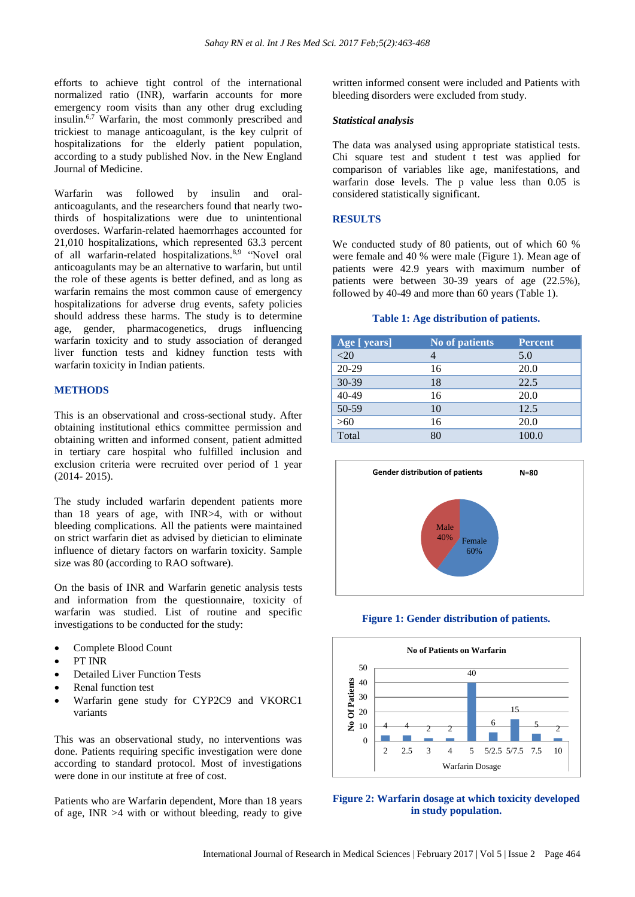efforts to achieve tight control of the international normalized ratio (INR), warfarin accounts for more emergency room visits than any other drug excluding insulin.6,7 Warfarin, the most commonly prescribed and trickiest to manage anticoagulant, is the key culprit of hospitalizations for the elderly patient population, according to a study published Nov. in the New England Journal of Medicine.

Warfarin was followed by insulin and oralanticoagulants, and the researchers found that nearly twothirds of hospitalizations were due to unintentional overdoses. Warfarin-related haemorrhages accounted for 21,010 hospitalizations, which represented 63.3 percent of all warfarin-related hospitalizations.8,9 "Novel oral anticoagulants may be an alternative to warfarin, but until the role of these agents is better defined, and as long as warfarin remains the most common cause of emergency hospitalizations for adverse drug events, safety policies should address these harms. The study is to determine age, gender, pharmacogenetics, drugs influencing warfarin toxicity and to study association of deranged liver function tests and kidney function tests with warfarin toxicity in Indian patients.

#### **METHODS**

This is an observational and cross-sectional study. After obtaining institutional ethics committee permission and obtaining written and informed consent, patient admitted in tertiary care hospital who fulfilled inclusion and exclusion criteria were recruited over period of 1 year (2014- 2015).

The study included warfarin dependent patients more than 18 years of age, with INR>4, with or without bleeding complications. All the patients were maintained on strict warfarin diet as advised by dietician to eliminate influence of dietary factors on warfarin toxicity. Sample size was 80 (according to RAO software).

On the basis of INR and Warfarin genetic analysis tests and information from the questionnaire, toxicity of warfarin was studied. List of routine and specific investigations to be conducted for the study:

- Complete Blood Count
- PT INR
- Detailed Liver Function Tests
- Renal function test
- Warfarin gene study for CYP2C9 and VKORC1 variants

This was an observational study, no interventions was done. Patients requiring specific investigation were done according to standard protocol. Most of investigations were done in our institute at free of cost.

Patients who are Warfarin dependent, More than 18 years of age, INR  $>4$  with or without bleeding, ready to give

written informed consent were included and Patients with bleeding disorders were excluded from study.

#### *Statistical analysis*

The data was analysed using appropriate statistical tests. Chi square test and student t test was applied for comparison of variables like age, manifestations, and warfarin dose levels. The p value less than 0.05 is considered statistically significant.

#### **RESULTS**

We conducted study of 80 patients, out of which 60 % were female and 40 % were male (Figure 1). Mean age of patients were 42.9 years with maximum number of patients were between 30-39 years of age (22.5%), followed by 40-49 and more than 60 years (Table 1).

#### **Table 1: Age distribution of patients.**

| Age [ years] | <b>No of patients</b> | <b>Percent</b> |
|--------------|-----------------------|----------------|
| $<$ 20       |                       | 5.0            |
| 20-29        | 16                    | 20.0           |
| 30-39        | 18                    | 22.5           |
| 40-49        | 16                    | 20.0           |
| 50-59        | 10                    | 12.5           |
| >60          | 16                    | 20.0           |
| Total        | 80                    | 100.0          |



**Figure 1: Gender distribution of patients.**



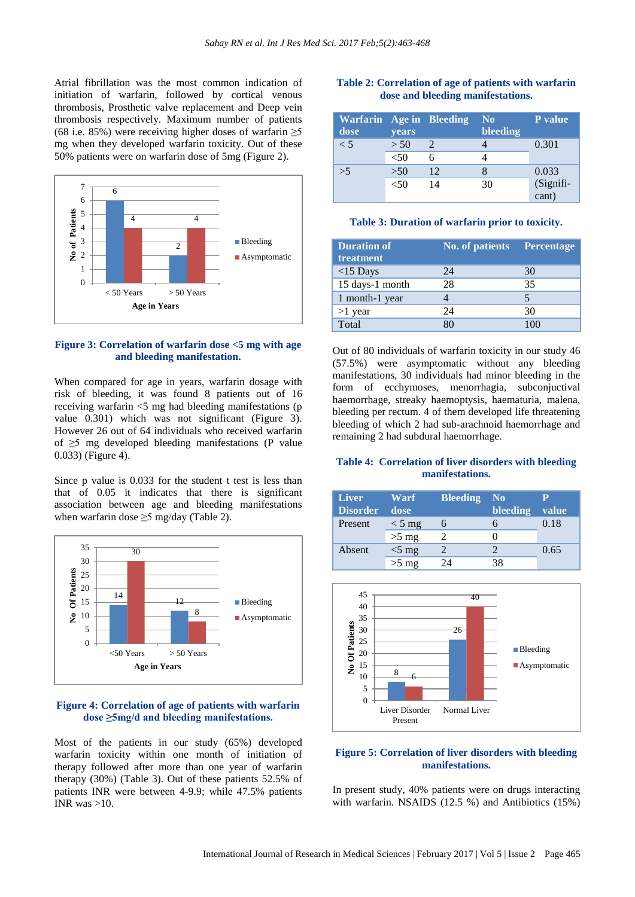Atrial fibrillation was the most common indication of initiation of warfarin, followed by cortical venous thrombosis, Prosthetic valve replacement and Deep vein thrombosis respectively. Maximum number of patients (68 i.e. 85%) were receiving higher doses of warfarin  $\geq$ 5 mg when they developed warfarin toxicity. Out of these 50% patients were on warfarin dose of 5mg (Figure 2).



#### **Figure 3: Correlation of warfarin dose <5 mg with age and bleeding manifestation.**

When compared for age in years, warfarin dosage with risk of bleeding, it was found 8 patients out of 16 receiving warfarin <5 mg had bleeding manifestations (p value 0.301) which was not significant (Figure 3). However 26 out of 64 individuals who received warfarin of  $\geq$ 5 mg developed bleeding manifestations (P value 0.033) (Figure 4).

Since p value is 0.033 for the student t test is less than that of 0.05 it indicates that there is significant association between age and bleeding manifestations when warfarin dose  $\geq$ 5 mg/day (Table 2).



#### **Figure 4: Correlation of age of patients with warfarin dose ≥5mg/d and bleeding manifestations.**

Most of the patients in our study (65%) developed warfarin toxicity within one month of initiation of therapy followed after more than one year of warfarin therapy (30%) (Table 3). Out of these patients 52.5% of patients INR were between 4-9.9; while 47.5% patients INR was  $>10$ .

#### **Table 2: Correlation of age of patients with warfarin dose and bleeding manifestations.**

| <b>Warfarin</b> Age in Bleeding<br>dose | <b>vears</b> |    | N <sub>0</sub><br>bleeding | P value         |
|-----------------------------------------|--------------|----|----------------------------|-----------------|
| $\leq 5$                                | > 50         |    |                            | 0.301           |
|                                         | ${<}50$      |    |                            |                 |
| >5                                      | >50          | 12 |                            | 0.033           |
|                                         | <50          | 14 | 30                         | (Signifi-       |
|                                         |              |    |                            | $\text{cant}$ ) |

#### **Table 3: Duration of warfarin prior to toxicity.**

| <b>Duration of</b><br>treatment | No. of patients Percentage |    |
|---------------------------------|----------------------------|----|
| $<$ 15 Days                     | 24                         | 30 |
| 15 days-1 month                 | 28                         | 35 |
| 1 month-1 year                  |                            |    |
| $>1$ year                       | 24                         | 30 |
| Total                           |                            |    |

Out of 80 individuals of warfarin toxicity in our study 46 (57.5%) were asymptomatic without any bleeding manifestations, 30 individuals had minor bleeding in the form of ecchymoses, menorrhagia, subconjuctival haemorrhage, streaky haemoptysis, haematuria, malena, bleeding per rectum. 4 of them developed life threatening bleeding of which 2 had sub-arachnoid haemorrhage and remaining 2 had subdural haemorrhage.

# **Table 4: Correlation of liver disorders with bleeding manifestations.**

| <b>Liver</b><br><b>Disorder</b> | Warf<br>dose     | <b>Bleeding</b> | N <sub>0</sub><br>bleeding | value |
|---------------------------------|------------------|-----------------|----------------------------|-------|
| Present                         | $< 5 \text{ mg}$ |                 |                            | 0.18  |
|                                 | $>5$ mg          |                 |                            |       |
| Absent                          | $<$ 5 mg         |                 |                            | 0.65  |
|                                 | $>5$ mg          | 24              |                            |       |



#### **Figure 5: Correlation of liver disorders with bleeding manifestations.**

In present study, 40% patients were on drugs interacting with warfarin. NSAIDS (12.5 %) and Antibiotics (15%)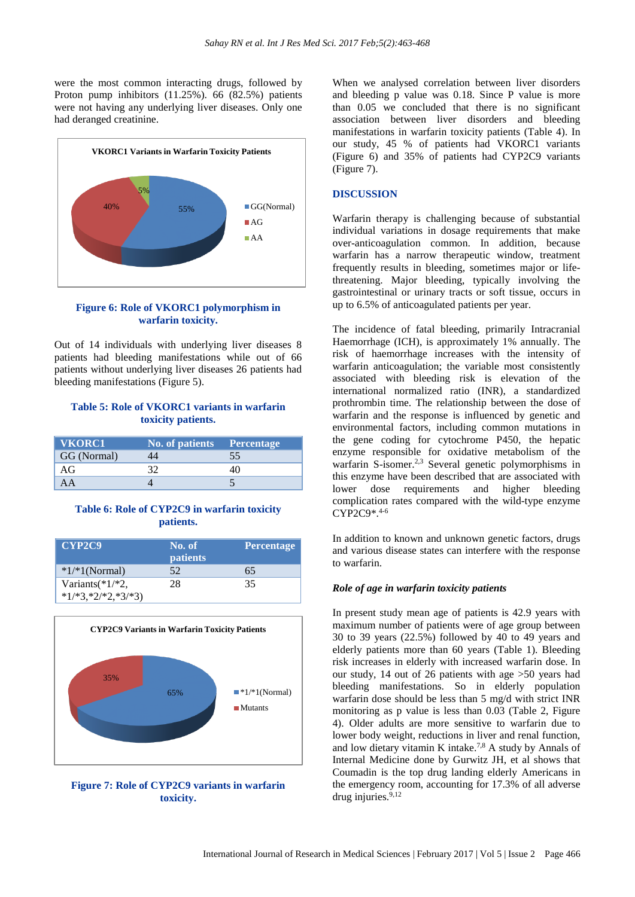were the most common interacting drugs, followed by Proton pump inhibitors (11.25%). 66 (82.5%) patients were not having any underlying liver diseases. Only one had deranged creatinine.



#### **Figure 6: Role of VKORC1 polymorphism in warfarin toxicity.**

Out of 14 individuals with underlying liver diseases 8 patients had bleeding manifestations while out of 66 patients without underlying liver diseases 26 patients had bleeding manifestations (Figure 5).

# **Table 5: Role of VKORC1 variants in warfarin toxicity patients.**

| VKORC1      | No. of patients Percentage |    |
|-------------|----------------------------|----|
| GG (Normal) |                            | 55 |
| АG          |                            |    |
|             |                            |    |

# **Table 6: Role of CYP2C9 in warfarin toxicity patients.**

| CYP2C9               | No. of<br><b>patients</b> | Percentage |
|----------------------|---------------------------|------------|
| $*1/*1(Normal)$      | 52                        | 65         |
| Variants $(*1/*2,$   | 28                        | 35         |
| $*1/*3,*2/*2,*3/*3)$ |                           |            |



**Figure 7: Role of CYP2C9 variants in warfarin toxicity.**

When we analysed correlation between liver disorders and bleeding p value was 0.18. Since P value is more than 0.05 we concluded that there is no significant association between liver disorders and bleeding manifestations in warfarin toxicity patients (Table 4). In our study, 45 % of patients had VKORC1 variants (Figure 6) and 35% of patients had CYP2C9 variants (Figure 7).

#### **DISCUSSION**

Warfarin therapy is challenging because of substantial individual variations in dosage requirements that make over-anticoagulation common. In addition, because warfarin has a narrow therapeutic window, treatment frequently results in bleeding, sometimes major or lifethreatening. Major bleeding, typically involving the gastrointestinal or urinary tracts or soft tissue, occurs in up to 6.5% of anticoagulated patients per year.

The incidence of fatal bleeding, primarily Intracranial Haemorrhage (ICH), is approximately 1% annually. The risk of haemorrhage increases with the intensity of warfarin anticoagulation; the variable most consistently associated with bleeding risk is elevation of the international normalized ratio (INR), a standardized prothrombin time. The relationship between the dose of warfarin and the response is influenced by genetic and environmental factors, including common mutations in the gene coding for cytochrome P450, the hepatic enzyme responsible for oxidative metabolism of the warfarin S-isomer.<sup>2,3</sup> Several genetic polymorphisms in this enzyme have been described that are associated with lower dose requirements and higher bleeding complication rates compared with the wild-type enzyme CYP2C9\*. 4-6

In addition to known and unknown genetic factors, drugs and various disease states can interfere with the response to warfarin.

#### *Role of age in warfarin toxicity patients*

In present study mean age of patients is 42.9 years with maximum number of patients were of age group between 30 to 39 years (22.5%) followed by 40 to 49 years and elderly patients more than 60 years (Table 1). Bleeding risk increases in elderly with increased warfarin dose. In our study, 14 out of 26 patients with age >50 years had bleeding manifestations. So in elderly population warfarin dose should be less than 5 mg/d with strict INR monitoring as p value is less than 0.03 (Table 2, Figure 4). Older adults are more sensitive to warfarin due to lower body weight, reductions in liver and renal function, and low dietary vitamin K intake. 7,8 A study by Annals of Internal Medicine done by Gurwitz JH, et al shows that Coumadin is the top drug landing elderly Americans in the emergency room, accounting for 17.3% of all adverse drug injuries.<sup>9,12</sup>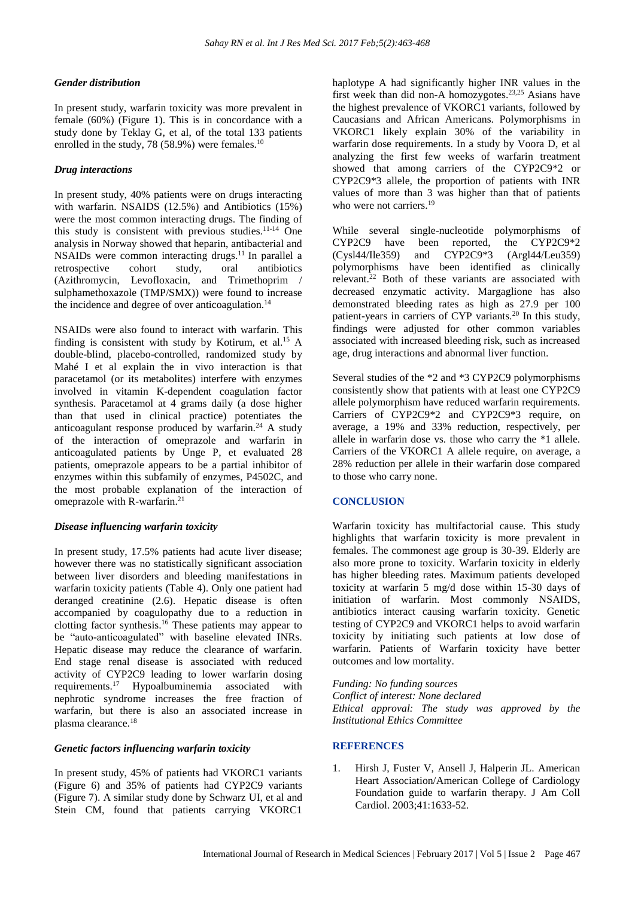# *Gender distribution*

In present study, warfarin toxicity was more prevalent in female (60%) (Figure 1). This is in concordance with a study done by Teklay G, et al, of the total 133 patients enrolled in the study, 78 (58.9%) were females.<sup>10</sup>

# *Drug interactions*

In present study, 40% patients were on drugs interacting with warfarin. NSAIDS (12.5%) and Antibiotics (15%) were the most common interacting drugs. The finding of this study is consistent with previous studies.11-14 One analysis in Norway showed that heparin, antibacterial and NSAIDs were common interacting drugs.<sup>11</sup> In parallel a retrospective cohort study, oral antibiotics (Azithromycin, Levofloxacin, and Trimethoprim / sulphamethoxazole (TMP/SMX)) were found to increase the incidence and degree of over anticoagulation.<sup>14</sup>

NSAIDs were also found to interact with warfarin. This finding is consistent with study by Kotirum, et al.<sup>15</sup> A double-blind, placebo-controlled, randomized study by Mahé I et al explain the in vivo interaction is that paracetamol (or its metabolites) interfere with enzymes involved in vitamin K-dependent coagulation factor synthesis. Paracetamol at 4 grams daily (a dose higher than that used in clinical practice) potentiates the anticoagulant response produced by warfarin.<sup>24</sup> A study of the interaction of omeprazole and warfarin in anticoagulated patients by Unge P, et evaluated 28 patients, omeprazole appears to be a partial inhibitor of enzymes within this subfamily of enzymes, P4502C, and the most probable explanation of the interaction of omeprazole with R-warfarin. 21

# *Disease influencing warfarin toxicity*

In present study, 17.5% patients had acute liver disease; however there was no statistically significant association between liver disorders and bleeding manifestations in warfarin toxicity patients (Table 4). Only one patient had deranged creatinine (2.6). Hepatic disease is often accompanied by coagulopathy due to a reduction in clotting factor synthesis.<sup>16</sup> These patients may appear to be "auto-anticoagulated" with baseline elevated INRs. Hepatic disease may reduce the clearance of warfarin. End stage renal disease is associated with reduced activity of CYP2C9 leading to lower warfarin dosing requirements.<sup>17</sup> Hypoalbuminemia associated with nephrotic syndrome increases the free fraction of warfarin, but there is also an associated increase in plasma clearance.<sup>18</sup>

# *Genetic factors influencing warfarin toxicity*

In present study, 45% of patients had VKORC1 variants (Figure 6) and 35% of patients had CYP2C9 variants (Figure 7). A similar study done by Schwarz UI, et al and Stein CM, found that patients carrying VKORC1

haplotype A had significantly higher INR values in the first week than did non-A homozygotes.23,25 Asians have the highest prevalence of VKORC1 variants, followed by Caucasians and African Americans. Polymorphisms in VKORC1 likely explain 30% of the variability in warfarin dose requirements. In a study by Voora D, et al analyzing the first few weeks of warfarin treatment showed that among carriers of the CYP2C9\*2 or CYP2C9\*3 allele, the proportion of patients with INR values of more than 3 was higher than that of patients who were not carriers.<sup>19</sup>

While several single-nucleotide polymorphisms of CYP2C9 have been reported, the CYP2C9\*2 (Cysl44/Ile359) and CYP2C9\*3 (Argl44/Leu359) polymorphisms have been identified as clinically relevant. <sup>22</sup> Both of these variants are associated with decreased enzymatic activity. Margaglione has also demonstrated bleeding rates as high as 27.9 per 100 patient-years in carriers of CYP variants.<sup>20</sup> In this study, findings were adjusted for other common variables associated with increased bleeding risk, such as increased age, drug interactions and abnormal liver function.

Several studies of the \*2 and \*3 CYP2C9 polymorphisms consistently show that patients with at least one CYP2C9 allele polymorphism have reduced warfarin requirements. Carriers of CYP2C9\*2 and CYP2C9\*3 require, on average, a 19% and 33% reduction, respectively, per allele in warfarin dose vs. those who carry the \*1 allele. Carriers of the VKORC1 A allele require, on average, a 28% reduction per allele in their warfarin dose compared to those who carry none.

# **CONCLUSION**

Warfarin toxicity has multifactorial cause. This study highlights that warfarin toxicity is more prevalent in females. The commonest age group is 30-39. Elderly are also more prone to toxicity. Warfarin toxicity in elderly has higher bleeding rates. Maximum patients developed toxicity at warfarin 5 mg/d dose within 15-30 days of initiation of warfarin. Most commonly NSAIDS, antibiotics interact causing warfarin toxicity. Genetic testing of CYP2C9 and VKORC1 helps to avoid warfarin toxicity by initiating such patients at low dose of warfarin. Patients of Warfarin toxicity have better outcomes and low mortality.

*Funding: No funding sources Conflict of interest: None declared Ethical approval: The study was approved by the Institutional Ethics Committee*

# **REFERENCES**

1. Hirsh J, Fuster V, Ansell J, Halperin JL. American Heart Association/American College of Cardiology Foundation guide to warfarin therapy. J Am Coll Cardiol. 2003;41:1633-52.